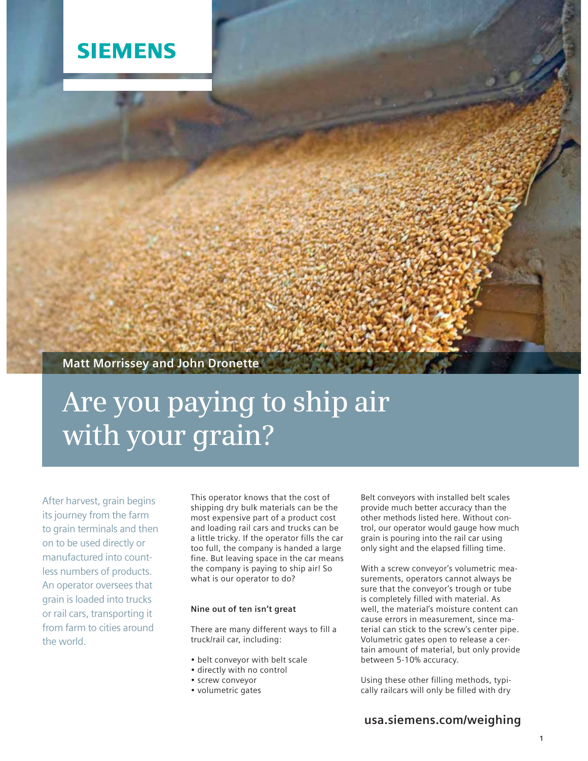

## **Matt Morrissey and John Dronette**

# **Are you paying to ship air with your grain?**

After harvest, grain begins its journey from the farm to grain terminals and then on to be used directly or manufactured into countless numbers of products. An operator oversees that grain is loaded into trucks or rail cars, transporting it from farm to cities around the world.

This operator knows that the cost of shipping dry bulk materials can be the most expensive part of a product cost and loading rail cars and trucks can be a little tricky. If the operator fills the car too full, the company is handed a large fine. But leaving space in the car means the company is paying to ship air! So what is our operator to do?

#### **Nine out of ten isn't great**

There are many different ways to fill a truck/rail car, including:

- belt conveyor with belt scale
- directly with no control
- screw conveyor
- volumetric gates

Belt conveyors with installed belt scales provide much better accuracy than the other methods listed here. Without control, our operator would gauge how much grain is pouring into the rail car using only sight and the elapsed filling time.

With a screw conveyor's volumetric measurements, operators cannot always be sure that the conveyor's trough or tube is completely filled with material. As well, the material's moisture content can cause errors in measurement, since material can stick to the screw's center pipe. Volumetric gates open to release a certain amount of material, but only provide between 5-10% accuracy.

Using these other filling methods, typically railcars will only be filled with dry

## **usa.siemens.com/weighing**